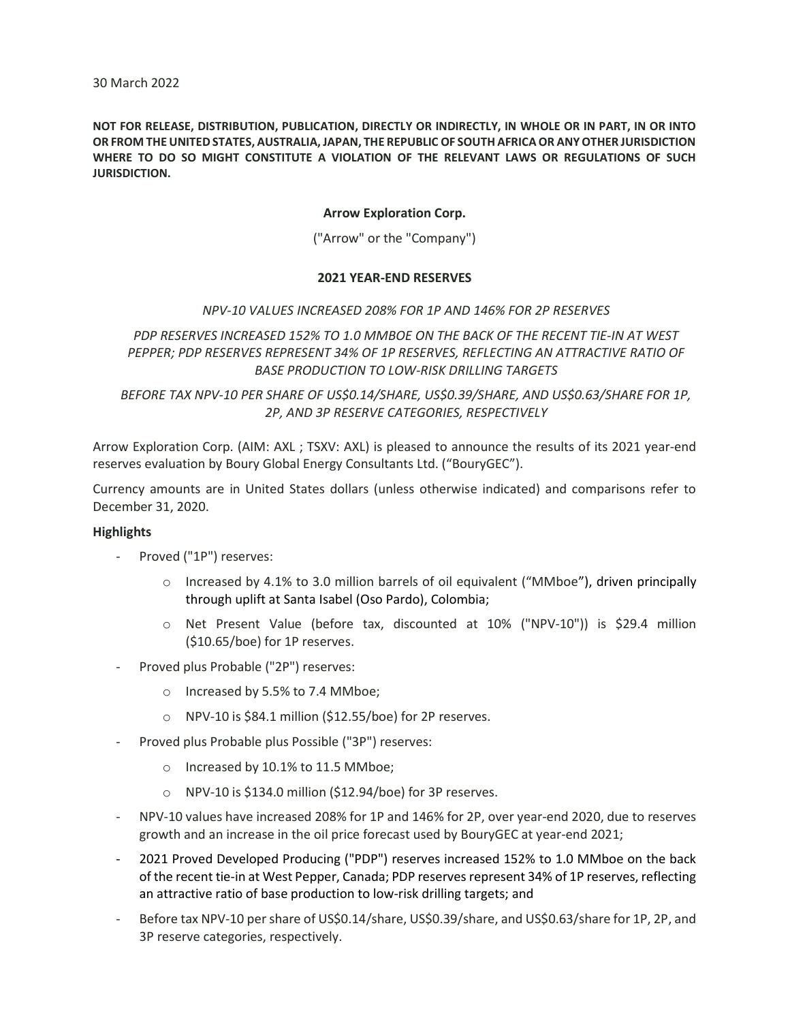NOT FOR RELEASE, DISTRIBUTION, PUBLICATION, DIRECTLY OR INDIRECTLY, IN WHOLE OR IN PART, IN OR INTO OR FROM THE UNITED STATES, AUSTRALIA, JAPAN, THE REPUBLIC OF SOUTH AFRICA OR ANY OTHER JURISDICTION WHERE TO DO SO MIGHT CONSTITUTE A VIOLATION OF THE RELEVANT LAWS OR REGULATIONS OF SUCH JURISDICTION.

# Arrow Exploration Corp.

("Arrow" or the "Company")

## 2021 YEAR-END RESERVES

### NPV-10 VALUES INCREASED 208% FOR 1P AND 146% FOR 2P RESERVES

PDP RESERVES INCREASED 152% TO 1.0 MMBOE ON THE BACK OF THE RECENT TIE-IN AT WEST PEPPER; PDP RESERVES REPRESENT 34% OF 1P RESERVES, REFLECTING AN ATTRACTIVE RATIO OF BASE PRODUCTION TO LOW-RISK DRILLING TARGETS

BEFORE TAX NPV-10 PER SHARE OF US\$0.14/SHARE, US\$0.39/SHARE, AND US\$0.63/SHARE FOR 1P, 2P, AND 3P RESERVE CATEGORIES, RESPECTIVELY

Arrow Exploration Corp. (AIM: AXL ; TSXV: AXL) is pleased to announce the results of its 2021 year-end reserves evaluation by Boury Global Energy Consultants Ltd. ("BouryGEC").

Currency amounts are in United States dollars (unless otherwise indicated) and comparisons refer to December 31, 2020.

### **Highlights**

- Proved ("1P") reserves:
	- $\circ$  Increased by 4.1% to 3.0 million barrels of oil equivalent ("MMboe"), driven principally through uplift at Santa Isabel (Oso Pardo), Colombia;
	- o Net Present Value (before tax, discounted at 10% ("NPV-10")) is \$29.4 million (\$10.65/boe) for 1P reserves.
- Proved plus Probable ("2P") reserves:
	- o Increased by 5.5% to 7.4 MMboe;
	- o NPV-10 is \$84.1 million (\$12.55/boe) for 2P reserves.
- Proved plus Probable plus Possible ("3P") reserves:
	- o Increased by 10.1% to 11.5 MMboe;
	- o NPV-10 is \$134.0 million (\$12.94/boe) for 3P reserves.
- NPV-10 values have increased 208% for 1P and 146% for 2P, over year-end 2020, due to reserves growth and an increase in the oil price forecast used by BouryGEC at year-end 2021;
- 2021 Proved Developed Producing ("PDP") reserves increased 152% to 1.0 MMboe on the back of the recent tie-in at West Pepper, Canada; PDP reserves represent 34% of 1P reserves, reflecting an attractive ratio of base production to low-risk drilling targets; and
- Before tax NPV-10 per share of US\$0.14/share, US\$0.39/share, and US\$0.63/share for 1P, 2P, and 3P reserve categories, respectively.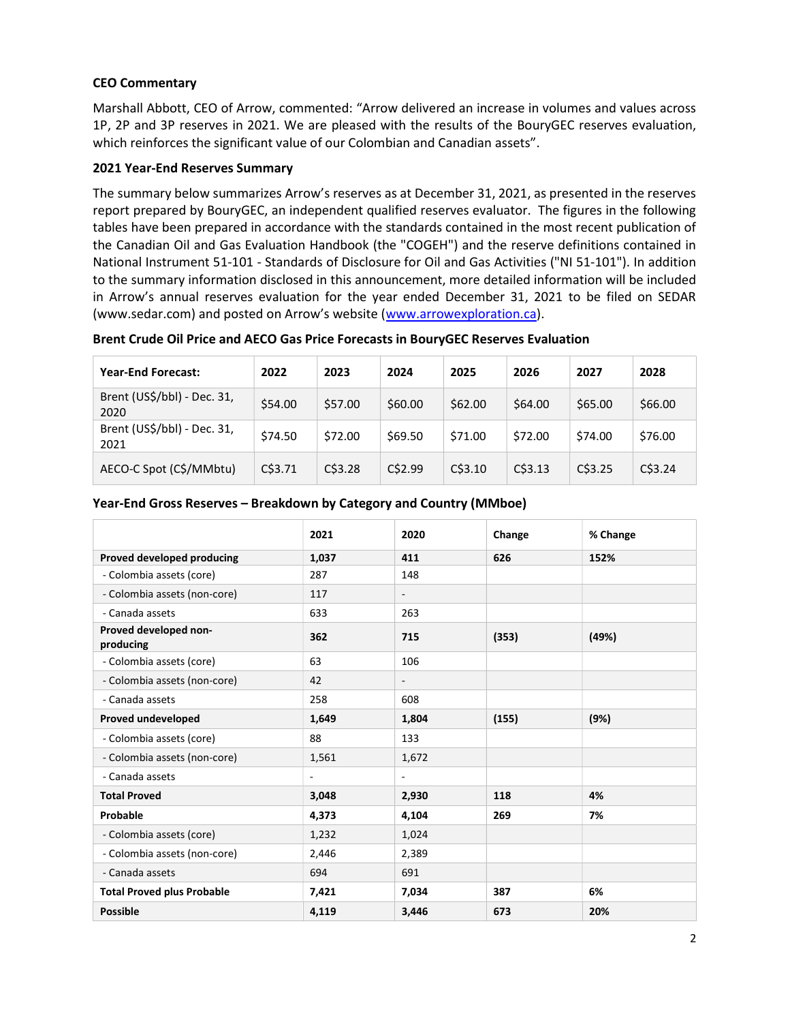# CEO Commentary

Marshall Abbott, CEO of Arrow, commented: "Arrow delivered an increase in volumes and values across 1P, 2P and 3P reserves in 2021. We are pleased with the results of the BouryGEC reserves evaluation, which reinforces the significant value of our Colombian and Canadian assets".

## 2021 Year-End Reserves Summary

The summary below summarizes Arrow's reserves as at December 31, 2021, as presented in the reserves report prepared by BouryGEC, an independent qualified reserves evaluator. The figures in the following tables have been prepared in accordance with the standards contained in the most recent publication of the Canadian Oil and Gas Evaluation Handbook (the "COGEH") and the reserve definitions contained in National Instrument 51-101 - Standards of Disclosure for Oil and Gas Activities ("NI 51-101"). In addition to the summary information disclosed in this announcement, more detailed information will be included in Arrow's annual reserves evaluation for the year ended December 31, 2021 to be filed on SEDAR (www.sedar.com) and posted on Arrow's website (www.arrowexploration.ca).

Brent Crude Oil Price and AECO Gas Price Forecasts in BouryGEC Reserves Evaluation

| <b>Year-End Forecast:</b>           | 2022       | 2023    | 2024    | 2025    | 2026    | 2027    | 2028    |
|-------------------------------------|------------|---------|---------|---------|---------|---------|---------|
| Brent (US\$/bbl) - Dec. 31,<br>2020 | \$54.00    | \$57.00 | \$60.00 | \$62.00 | \$64.00 | \$65.00 | \$66.00 |
| Brent (US\$/bbl) - Dec. 31,<br>2021 | \$74.50    | \$72.00 | \$69.50 | \$71.00 | \$72.00 | \$74.00 | \$76.00 |
| AECO-C Spot (C\$/MMbtu)             | $C$ \$3.71 | C\$3.28 | C\$2.99 | C\$3.10 | C\$3.13 | C\$3.25 | C\$3.24 |

|                                    | 2021                     | 2020                     | Change | % Change |
|------------------------------------|--------------------------|--------------------------|--------|----------|
| Proved developed producing         | 1,037                    | 411                      | 626    | 152%     |
| - Colombia assets (core)           | 287                      | 148                      |        |          |
| - Colombia assets (non-core)       | 117                      | $\overline{\phantom{a}}$ |        |          |
| - Canada assets                    | 633                      | 263                      |        |          |
| Proved developed non-<br>producing | 362                      | 715                      | (353)  | (49%)    |
| - Colombia assets (core)           | 63                       | 106                      |        |          |
| - Colombia assets (non-core)       | 42                       | $\overline{\phantom{a}}$ |        |          |
| - Canada assets                    | 258                      | 608                      |        |          |
| Proved undeveloped                 | 1,649                    | 1,804                    | (155)  | (9%)     |
| - Colombia assets (core)           | 88                       | 133                      |        |          |
| - Colombia assets (non-core)       | 1,561                    | 1,672                    |        |          |
| - Canada assets                    | $\overline{\phantom{a}}$ | $\blacksquare$           |        |          |
| <b>Total Proved</b>                | 3,048                    | 2,930                    | 118    | 4%       |
| Probable                           | 4,373                    | 4,104                    | 269    | 7%       |
| - Colombia assets (core)           | 1,232                    | 1,024                    |        |          |
| - Colombia assets (non-core)       | 2,446                    | 2,389                    |        |          |
| - Canada assets                    | 694                      | 691                      |        |          |
| <b>Total Proved plus Probable</b>  | 7,421                    | 7,034                    | 387    | 6%       |
| <b>Possible</b>                    | 4,119                    | 3,446                    | 673    | 20%      |

#### Year-End Gross Reserves – Breakdown by Category and Country (MMboe)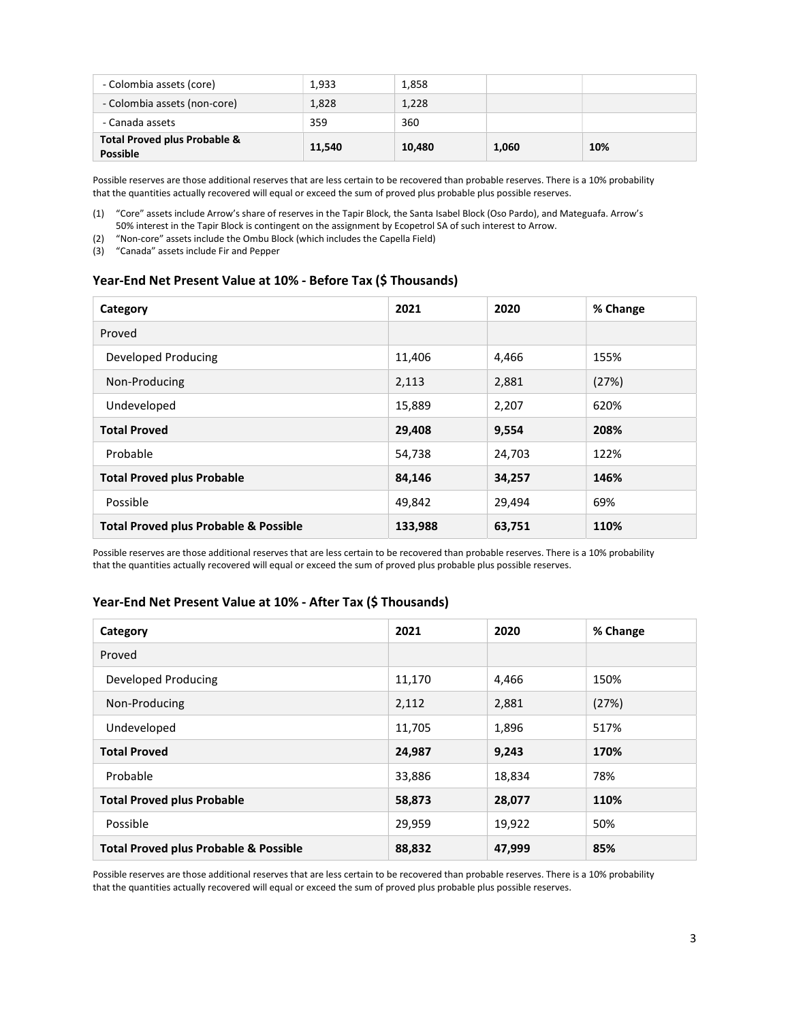| - Colombia assets (core)                                   | 1.933  | 1,858  |       |     |
|------------------------------------------------------------|--------|--------|-------|-----|
| - Colombia assets (non-core)                               | 1,828  | 1,228  |       |     |
| - Canada assets                                            | 359    | 360    |       |     |
| <b>Total Proved plus Probable &amp;</b><br><b>Possible</b> | 11,540 | 10.480 | 1,060 | 10% |

Possible reserves are those additional reserves that are less certain to be recovered than probable reserves. There is a 10% probability that the quantities actually recovered will equal or exceed the sum of proved plus probable plus possible reserves.

(2) "Non-core" assets include the Ombu Block (which includes the Capella Field)

(3) "Canada" assets include Fir and Pepper

### Year-End Net Present Value at 10% - Before Tax (\$ Thousands)

| Category                                         | 2021    | 2020   | % Change |
|--------------------------------------------------|---------|--------|----------|
| Proved                                           |         |        |          |
| Developed Producing                              | 11,406  | 4,466  | 155%     |
| Non-Producing                                    | 2,113   | 2,881  | (27%)    |
| Undeveloped                                      | 15,889  | 2,207  | 620%     |
| <b>Total Proved</b>                              | 29,408  | 9,554  | 208%     |
| Probable                                         | 54,738  | 24,703 | 122%     |
| <b>Total Proved plus Probable</b>                | 84,146  | 34,257 | 146%     |
| Possible                                         | 49,842  | 29,494 | 69%      |
| <b>Total Proved plus Probable &amp; Possible</b> | 133,988 | 63,751 | 110%     |

Possible reserves are those additional reserves that are less certain to be recovered than probable reserves. There is a 10% probability that the quantities actually recovered will equal or exceed the sum of proved plus probable plus possible reserves.

## Year-End Net Present Value at 10% - After Tax (\$ Thousands)

| Category                                         | 2021   | 2020   | % Change |
|--------------------------------------------------|--------|--------|----------|
| Proved                                           |        |        |          |
| Developed Producing                              | 11,170 | 4,466  | 150%     |
| Non-Producing                                    | 2,112  | 2,881  | (27%)    |
| Undeveloped                                      | 11,705 | 1,896  | 517%     |
| <b>Total Proved</b>                              | 24,987 | 9,243  | 170%     |
| Probable                                         | 33,886 | 18,834 | 78%      |
| <b>Total Proved plus Probable</b>                | 58,873 | 28,077 | 110%     |
| Possible                                         | 29,959 | 19,922 | 50%      |
| <b>Total Proved plus Probable &amp; Possible</b> | 88,832 | 47,999 | 85%      |

Possible reserves are those additional reserves that are less certain to be recovered than probable reserves. There is a 10% probability that the quantities actually recovered will equal or exceed the sum of proved plus probable plus possible reserves.

<sup>(1)</sup> "Core" assets include Arrow's share of reserves in the Tapir Block, the Santa Isabel Block (Oso Pardo), and Mateguafa. Arrow's 50% interest in the Tapir Block is contingent on the assignment by Ecopetrol SA of such interest to Arrow.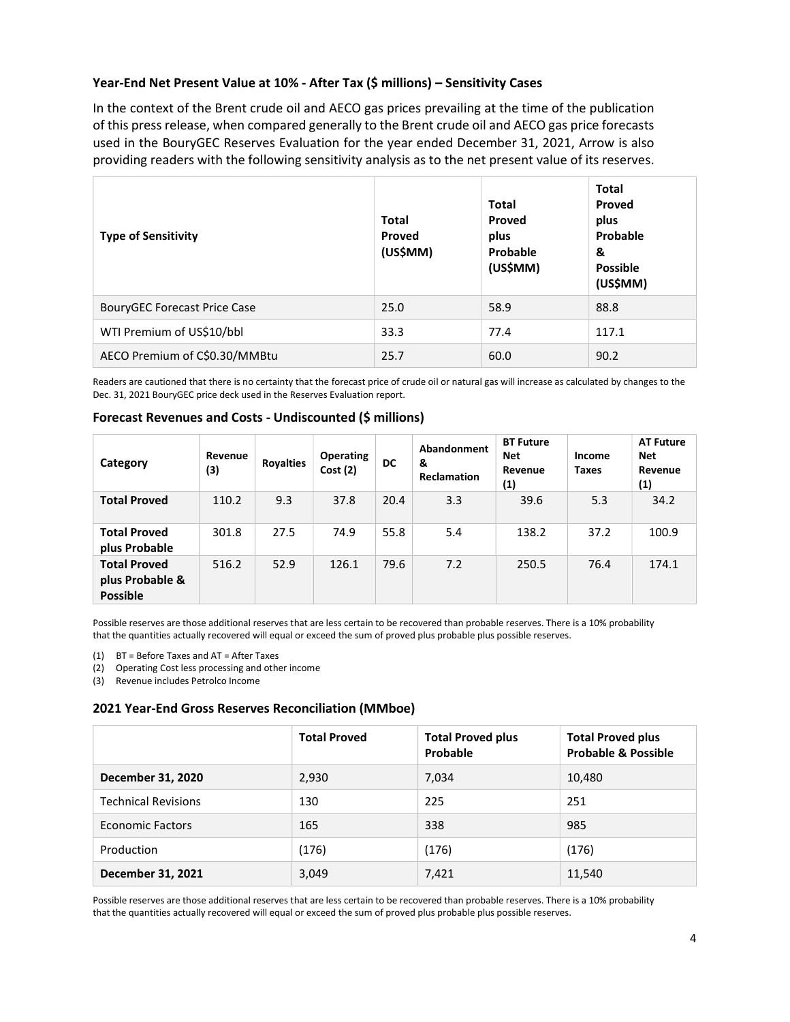## Year-End Net Present Value at 10% - After Tax (\$ millions) – Sensitivity Cases

In the context of the Brent crude oil and AECO gas prices prevailing at the time of the publication of this press release, when compared generally to the Brent crude oil and AECO gas price forecasts used in the BouryGEC Reserves Evaluation for the year ended December 31, 2021, Arrow is also providing readers with the following sensitivity analysis as to the net present value of its reserves.

| <b>Type of Sensitivity</b>          | <b>Total</b><br><b>Proved</b><br>(US\$MM) | <b>Total</b><br>Proved<br>plus<br>Probable<br>(US\$MM) | <b>Total</b><br>Proved<br>plus<br>Probable<br>&<br><b>Possible</b><br>(US\$MM) |
|-------------------------------------|-------------------------------------------|--------------------------------------------------------|--------------------------------------------------------------------------------|
| <b>BouryGEC Forecast Price Case</b> | 25.0                                      | 58.9                                                   | 88.8                                                                           |
| WTI Premium of US\$10/bbl           | 33.3                                      | 77.4                                                   | 117.1                                                                          |
| AECO Premium of C\$0.30/MMBtu       | 25.7                                      | 60.0                                                   | 90.2                                                                           |

Readers are cautioned that there is no certainty that the forecast price of crude oil or natural gas will increase as calculated by changes to the Dec. 31, 2021 BouryGEC price deck used in the Reserves Evaluation report.

# Forecast Revenues and Costs - Undiscounted (\$ millions)

| Category                                                  | Revenue<br>(3) | <b>Royalties</b> | <b>Operating</b><br>Cost(2) | DC   | Abandonment<br>&<br><b>Reclamation</b> | <b>BT Future</b><br><b>Net</b><br>Revenue<br>(1) | Income<br><b>Taxes</b> | <b>AT Future</b><br><b>Net</b><br>Revenue<br>(1) |
|-----------------------------------------------------------|----------------|------------------|-----------------------------|------|----------------------------------------|--------------------------------------------------|------------------------|--------------------------------------------------|
| <b>Total Proved</b>                                       | 110.2          | 9.3              | 37.8                        | 20.4 | 3.3                                    | 39.6                                             | 5.3                    | 34.2                                             |
| <b>Total Proved</b><br>plus Probable                      | 301.8          | 27.5             | 74.9                        | 55.8 | 5.4                                    | 138.2                                            | 37.2                   | 100.9                                            |
| <b>Total Proved</b><br>plus Probable &<br><b>Possible</b> | 516.2          | 52.9             | 126.1                       | 79.6 | 7.2                                    | 250.5                                            | 76.4                   | 174.1                                            |

Possible reserves are those additional reserves that are less certain to be recovered than probable reserves. There is a 10% probability that the quantities actually recovered will equal or exceed the sum of proved plus probable plus possible reserves.

(1) BT = Before Taxes and AT = After Taxes

(2) Operating Cost less processing and other income

(3) Revenue includes Petrolco Income

### 2021 Year-End Gross Reserves Reconciliation (MMboe)

|                            | <b>Total Proved</b> | <b>Total Proved plus</b><br>Probable | <b>Total Proved plus</b><br><b>Probable &amp; Possible</b> |
|----------------------------|---------------------|--------------------------------------|------------------------------------------------------------|
| <b>December 31, 2020</b>   | 2,930               | 7,034                                | 10,480                                                     |
| <b>Technical Revisions</b> | 130                 | 225                                  | 251                                                        |
| <b>Economic Factors</b>    | 165                 | 338                                  | 985                                                        |
| Production                 | (176)               | (176)                                | (176)                                                      |
| December 31, 2021          | 3,049               | 7,421                                | 11,540                                                     |

Possible reserves are those additional reserves that are less certain to be recovered than probable reserves. There is a 10% probability that the quantities actually recovered will equal or exceed the sum of proved plus probable plus possible reserves.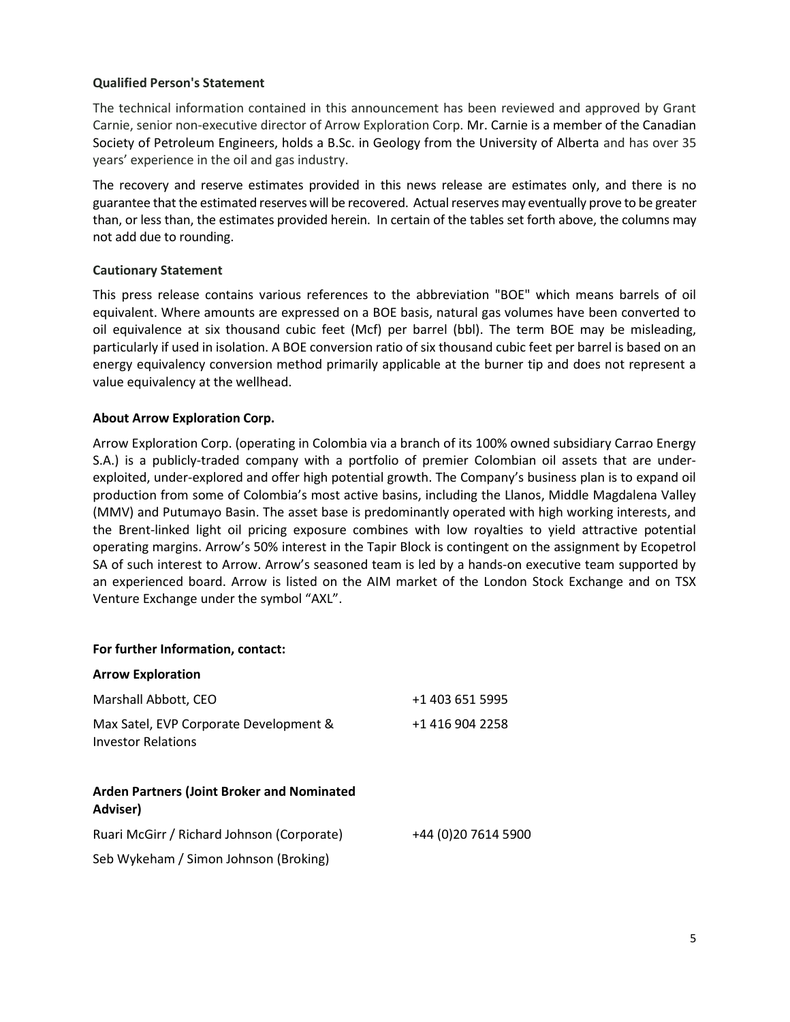# Qualified Person's Statement

The technical information contained in this announcement has been reviewed and approved by Grant Carnie, senior non-executive director of Arrow Exploration Corp. Mr. Carnie is a member of the Canadian Society of Petroleum Engineers, holds a B.Sc. in Geology from the University of Alberta and has over 35 years' experience in the oil and gas industry.

The recovery and reserve estimates provided in this news release are estimates only, and there is no guarantee that the estimated reserves will be recovered. Actual reserves may eventually prove to be greater than, or less than, the estimates provided herein. In certain of the tables set forth above, the columns may not add due to rounding.

# Cautionary Statement

This press release contains various references to the abbreviation "BOE" which means barrels of oil equivalent. Where amounts are expressed on a BOE basis, natural gas volumes have been converted to oil equivalence at six thousand cubic feet (Mcf) per barrel (bbl). The term BOE may be misleading, particularly if used in isolation. A BOE conversion ratio of six thousand cubic feet per barrel is based on an energy equivalency conversion method primarily applicable at the burner tip and does not represent a value equivalency at the wellhead.

## About Arrow Exploration Corp.

Arrow Exploration Corp. (operating in Colombia via a branch of its 100% owned subsidiary Carrao Energy S.A.) is a publicly-traded company with a portfolio of premier Colombian oil assets that are underexploited, under-explored and offer high potential growth. The Company's business plan is to expand oil production from some of Colombia's most active basins, including the Llanos, Middle Magdalena Valley (MMV) and Putumayo Basin. The asset base is predominantly operated with high working interests, and the Brent-linked light oil pricing exposure combines with low royalties to yield attractive potential operating margins. Arrow's 50% interest in the Tapir Block is contingent on the assignment by Ecopetrol SA of such interest to Arrow. Arrow's seasoned team is led by a hands-on executive team supported by an experienced board. Arrow is listed on the AIM market of the London Stock Exchange and on TSX Venture Exchange under the symbol "AXL".

### For further Information, contact:

| <b>Arrow Exploration</b>                                            |                      |
|---------------------------------------------------------------------|----------------------|
| Marshall Abbott, CEO                                                | +1 403 651 5995      |
| Max Satel, EVP Corporate Development &<br><b>Investor Relations</b> | +1 416 904 2258      |
| <b>Arden Partners (Joint Broker and Nominated</b><br>Adviser)       |                      |
| Ruari McGirr / Richard Johnson (Corporate)                          | +44 (0) 20 7614 5900 |
| Seb Wykeham / Simon Johnson (Broking)                               |                      |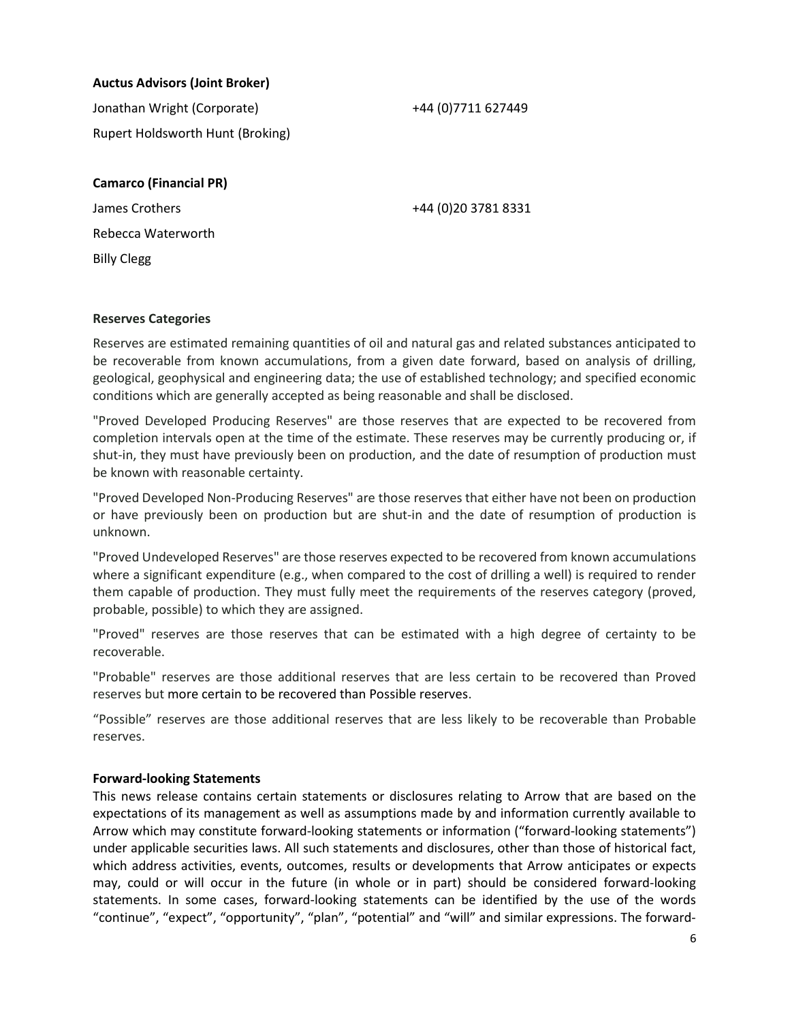# Auctus Advisors (Joint Broker)

Jonathan Wright (Corporate) +44 (0)7711 627449 Rupert Holdsworth Hunt (Broking)

# Camarco (Financial PR)

James Crothers +44 (0)20 3781 8331 Rebecca Waterworth Billy Clegg

# Reserves Categories

Reserves are estimated remaining quantities of oil and natural gas and related substances anticipated to be recoverable from known accumulations, from a given date forward, based on analysis of drilling, geological, geophysical and engineering data; the use of established technology; and specified economic conditions which are generally accepted as being reasonable and shall be disclosed.

"Proved Developed Producing Reserves" are those reserves that are expected to be recovered from completion intervals open at the time of the estimate. These reserves may be currently producing or, if shut-in, they must have previously been on production, and the date of resumption of production must be known with reasonable certainty.

"Proved Developed Non-Producing Reserves" are those reserves that either have not been on production or have previously been on production but are shut-in and the date of resumption of production is unknown.

"Proved Undeveloped Reserves" are those reserves expected to be recovered from known accumulations where a significant expenditure (e.g., when compared to the cost of drilling a well) is required to render them capable of production. They must fully meet the requirements of the reserves category (proved, probable, possible) to which they are assigned.

"Proved" reserves are those reserves that can be estimated with a high degree of certainty to be recoverable.

"Probable" reserves are those additional reserves that are less certain to be recovered than Proved reserves but more certain to be recovered than Possible reserves.

"Possible" reserves are those additional reserves that are less likely to be recoverable than Probable reserves.

## Forward-looking Statements

This news release contains certain statements or disclosures relating to Arrow that are based on the expectations of its management as well as assumptions made by and information currently available to Arrow which may constitute forward-looking statements or information ("forward-looking statements") under applicable securities laws. All such statements and disclosures, other than those of historical fact, which address activities, events, outcomes, results or developments that Arrow anticipates or expects may, could or will occur in the future (in whole or in part) should be considered forward-looking statements. In some cases, forward-looking statements can be identified by the use of the words "continue", "expect", "opportunity", "plan", "potential" and "will" and similar expressions. The forward